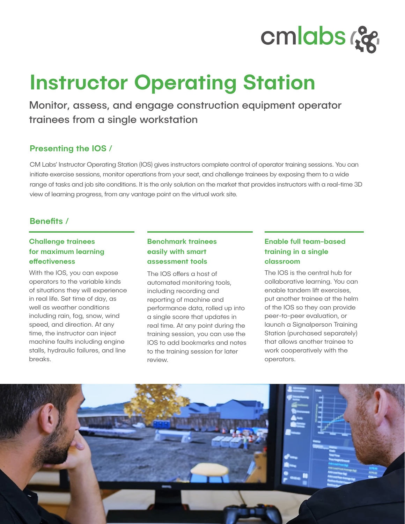

# Instructor Operating Station

Monitor, assess, and engage construction equipment operator trainees from a single workstation

## Presenting the IOS /

CM Labs' Instructor Operating Station (IOS) gives instructors complete control of operator training sessions. You can initiate exercise sessions, monitor operations from your seat, and challenge trainees by exposing them to a wide range of tasks and job site conditions. It is the only solution on the market that provides instructors with a real-time 3D view of learning progress, from any vantage point on the virtual work site.

## Benefits /

## Challenge trainees for maximum learning effectiveness

With the IOS, you can expose operators to the variable kinds of situations they will experience in real life. Set time of day, as well as weather conditions including rain, fog, snow, wind speed, and direction. At any time, the instructor can inject machine faults including engine stalls, hydraulic failures, and line breaks.

## Benchmark trainees easily with smart assessment tools

The IOS offers a host of automated monitoring tools, including recording and reporting of machine and performance data, rolled up into a single score that updates in real time. At any point during the training session, you can use the IOS to add bookmarks and notes to the training session for later review.

## Enable full team-based training in a single classroom

The IOS is the central hub for collaborative learning. You can enable tandem lift exercises, put another trainee at the helm of the IOS so they can provide peer-to-peer evaluation, or launch a Signalperson Training Station (purchased separately) that allows another trainee to work cooperatively with the operators.